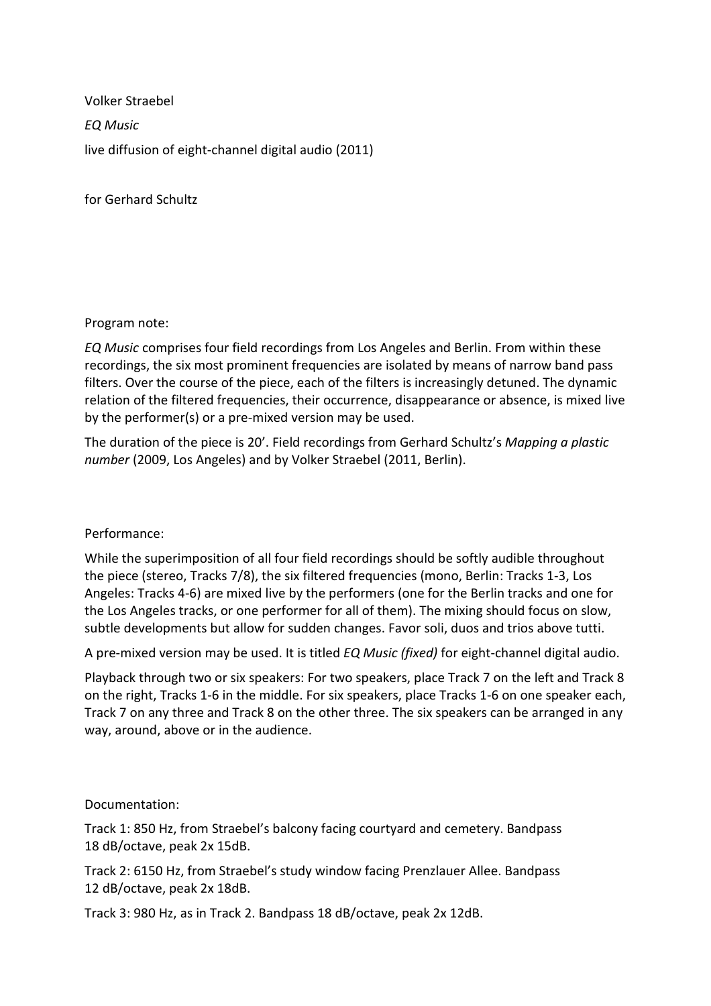Volker Straebel *EQ Music* live diffusion of eight-channel digital audio (2011)

for Gerhard Schultz

Program note:

*EQ Music* comprises four field recordings from Los Angeles and Berlin. From within these recordings, the six most prominent frequencies are isolated by means of narrow band pass filters. Over the course of the piece, each of the filters is increasingly detuned. The dynamic relation of the filtered frequencies, their occurrence, disappearance or absence, is mixed live by the performer(s) or a pre-mixed version may be used.

The duration of the piece is 20'. Field recordings from Gerhard Schultz's *Mapping a plastic number* (2009, Los Angeles) and by Volker Straebel (2011, Berlin).

## Performance:

While the superimposition of all four field recordings should be softly audible throughout the piece (stereo, Tracks 7/8), the six filtered frequencies (mono, Berlin: Tracks 1-3, Los Angeles: Tracks 4-6) are mixed live by the performers (one for the Berlin tracks and one for the Los Angeles tracks, or one performer for all of them). The mixing should focus on slow, subtle developments but allow for sudden changes. Favor soli, duos and trios above tutti.

A pre-mixed version may be used. It is titled *EQ Music (fixed)* for eight-channel digital audio.

Playback through two or six speakers: For two speakers, place Track 7 on the left and Track 8 on the right, Tracks 1-6 in the middle. For six speakers, place Tracks 1-6 on one speaker each, Track 7 on any three and Track 8 on the other three. The six speakers can be arranged in any way, around, above or in the audience.

## Documentation:

Track 1: 850 Hz, from Straebel's balcony facing courtyard and cemetery. Bandpass 18 dB/octave, peak 2x 15dB.

Track 2: 6150 Hz, from Straebel's study window facing Prenzlauer Allee. Bandpass 12 dB/octave, peak 2x 18dB.

Track 3: 980 Hz, as in Track 2. Bandpass 18 dB/octave, peak 2x 12dB.